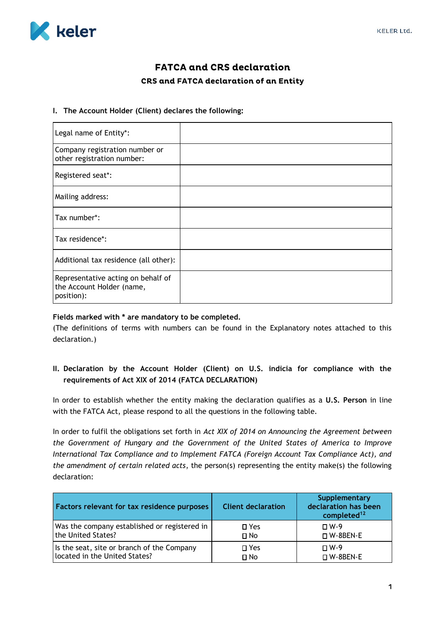

# **FATCA and CRS declaration** CRS and FATCA declaration of an Entity

#### **I. The Account Holder (Client) declares the following:**

| Legal name of Entity*:                                                        |  |
|-------------------------------------------------------------------------------|--|
| Company registration number or<br>other registration number:                  |  |
| Registered seat*:                                                             |  |
| Mailing address:                                                              |  |
| Tax number*:                                                                  |  |
| Tax residence*:                                                               |  |
| Additional tax residence (all other):                                         |  |
| Representative acting on behalf of<br>the Account Holder (name,<br>position): |  |

#### **Fields marked with \* are mandatory to be completed.**

(The definitions of terms with numbers can be found in the Explanatory notes attached to this declaration.)

## **II. Declaration by the Account Holder (Client) on U.S. indicia for compliance with the requirements of Act XIX of 2014 (FATCA DECLARATION)**

In order to establish whether the entity making the declaration qualifies as a **U.S. Person** in line with the FATCA Act, please respond to all the questions in the following table.

In order to fulfil the obligations set forth in *Act XIX of 2014 on Announcing the Agreement between the Government of Hungary and the Government of the United States of America to Improve International Tax Compliance and to Implement FATCA (Foreign Account Tax Compliance Act), and the amendment of certain related acts*, the person(s) representing the entity make(s) the following declaration:

| Factors relevant for tax residence purposes  | <b>Client declaration</b> | Supplementary<br>declaration has been<br>completed <sup>12</sup> |
|----------------------------------------------|---------------------------|------------------------------------------------------------------|
| Was the company established or registered in | $\square$ Yes             | $\Box$ W-9                                                       |
| the United States?                           | $\square$ No              | □ W-8BEN-E                                                       |
| Is the seat, site or branch of the Company   | $\square$ Yes             | $\Box$ W-9                                                       |
| located in the United States?                | $\square$ No              | $\square$ W-8BEN-E                                               |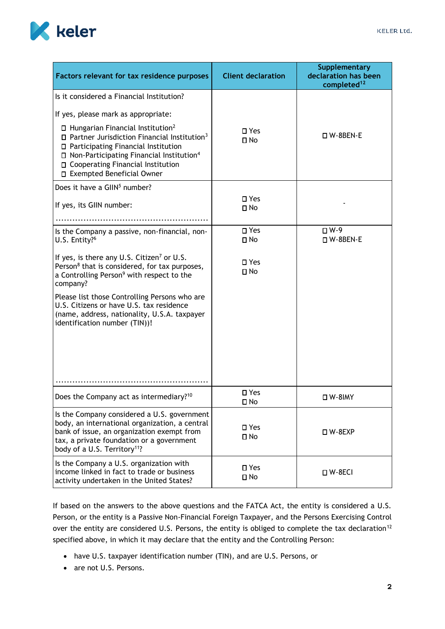

| Factors relevant for tax residence purposes                                                                                                                                                                                                                                                                                                                            | <b>Client declaration</b>  | <b>Supplementary</b><br>declaration has been<br>completed <sup>12</sup> |
|------------------------------------------------------------------------------------------------------------------------------------------------------------------------------------------------------------------------------------------------------------------------------------------------------------------------------------------------------------------------|----------------------------|-------------------------------------------------------------------------|
| Is it considered a Financial Institution?                                                                                                                                                                                                                                                                                                                              |                            |                                                                         |
| If yes, please mark as appropriate:<br>$\Box$ Hungarian Financial Institution <sup>2</sup><br>$\square$ Partner Jurisdiction Financial Institution <sup>3</sup><br>□ Participating Financial Institution<br>$\Box$ Non-Participating Financial Institution <sup>4</sup><br>□ Cooperating Financial Institution<br>□ Exempted Beneficial Owner                          | $\square$ Yes<br>$\Box$ No | □ W-8BEN-E                                                              |
| Does it have a GIIN <sup>5</sup> number?                                                                                                                                                                                                                                                                                                                               |                            |                                                                         |
| If yes, its GIIN number:                                                                                                                                                                                                                                                                                                                                               | □ Yes<br>$\Box$ No         |                                                                         |
|                                                                                                                                                                                                                                                                                                                                                                        | □ Yes                      | $\square$ W-9                                                           |
| Is the Company a passive, non-financial, non-<br>U.S. Entity? <sup>6</sup>                                                                                                                                                                                                                                                                                             | $\Box$ No                  | $\Box$ W-8BEN-E                                                         |
| If yes, is there any U.S. Citizen <sup>7</sup> or U.S.<br>Person <sup>8</sup> that is considered, for tax purposes,<br>a Controlling Person <sup>9</sup> with respect to the<br>company?<br>Please list those Controlling Persons who are<br>U.S. Citizens or have U.S. tax residence<br>(name, address, nationality, U.S.A. taxpayer<br>identification number (TIN))! | $\square$ Yes<br>$\Box$ No |                                                                         |
|                                                                                                                                                                                                                                                                                                                                                                        |                            |                                                                         |
| Does the Company act as intermediary? <sup>10</sup>                                                                                                                                                                                                                                                                                                                    | $\square$ Yes<br>$\Box$ No | <b>□ W-8IMY</b>                                                         |
| Is the Company considered a U.S. government<br>body, an international organization, a central<br>bank of issue, an organization exempt from<br>tax, a private foundation or a government<br>body of a U.S. Territory <sup>11</sup> ?                                                                                                                                   | $\square$ Yes<br>$\Box$ No | □ W-8EXP                                                                |
| Is the Company a U.S. organization with<br>income linked in fact to trade or business<br>activity undertaken in the United States?                                                                                                                                                                                                                                     | □ Yes<br>$\Box$ No         | □ W-8ECI                                                                |

If based on the answers to the above questions and the FATCA Act, the entity is considered a U.S. Person, or the entity is a Passive Non-Financial Foreign Taxpayer, and the Persons Exercising Control over the entity are considered U.S. Persons, the entity is obliged to complete the tax declaration<sup>12</sup> specified above, in which it may declare that the entity and the Controlling Person:

- have U.S. taxpayer identification number (TIN), and are U.S. Persons, or
- are not U.S. Persons.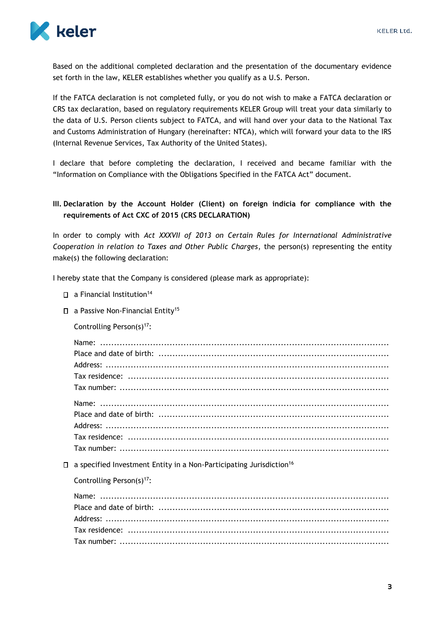

Based on the additional completed declaration and the presentation of the documentary evidence set forth in the law, KELER establishes whether you qualify as a U.S. Person.

If the FATCA declaration is not completed fully, or you do not wish to make a FATCA declaration or CRS tax declaration, based on regulatory requirements KELER Group will treat your data similarly to the data of U.S. Person clients subject to FATCA, and will hand over your data to the National Tax and Customs Administration of Hungary (hereinafter: NTCA), which will forward your data to the IRS (Internal Revenue Services, Tax Authority of the United States).

I declare that before completing the declaration, I received and became familiar with the "Information on Compliance with the Obligations Specified in the FATCA Act" document.

## **III. Declaration by the Account Holder (Client) on foreign indicia for compliance with the requirements of Act CXC of 2015 (CRS DECLARATION)**

In order to comply with *Act XXXVII of 2013 on Certain Rules for International Administrative Cooperation in relation to Taxes and Other Public Charges*, the person(s) representing the entity make(s) the following declaration:

I hereby state that the Company is considered (please mark as appropriate):

- $\square$  a Financial Institution<sup>14</sup>
- □ a Passive Non-Financial Entity<sup>15</sup>
	- Controlling Person(s)<sup>17</sup>:

- $\square$  a specified Investment Entity in a Non-Participating Jurisdiction<sup>16</sup>
	- Controlling Person(s)<sup>17</sup>: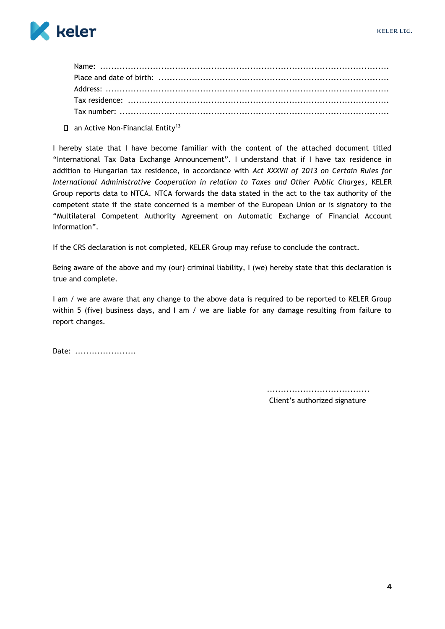

 $\Box$  an Active Non-Financial Entity<sup>13</sup>

I hereby state that I have become familiar with the content of the attached document titled "International Tax Data Exchange Announcement". I understand that if I have tax residence in addition to Hungarian tax residence, in accordance with Act XXXVII of 2013 on Certain Rules for International Administrative Cooperation in relation to Taxes and Other Public Charges, KELER Group reports data to NTCA. NTCA forwards the data stated in the act to the tax authority of the competent state if the state concerned is a member of the European Union or is signatory to the "Multilateral Competent Authority Agreement on Automatic Exchange of Financial Account Information"

If the CRS declaration is not completed, KELER Group may refuse to conclude the contract.

Being aware of the above and my (our) criminal liability, I (we) hereby state that this declaration is true and complete.

I am / we are aware that any change to the above data is required to be reported to KELER Group within 5 (five) business days, and I am / we are liable for any damage resulting from failure to report changes.

Date: .......................

Client's authorized signature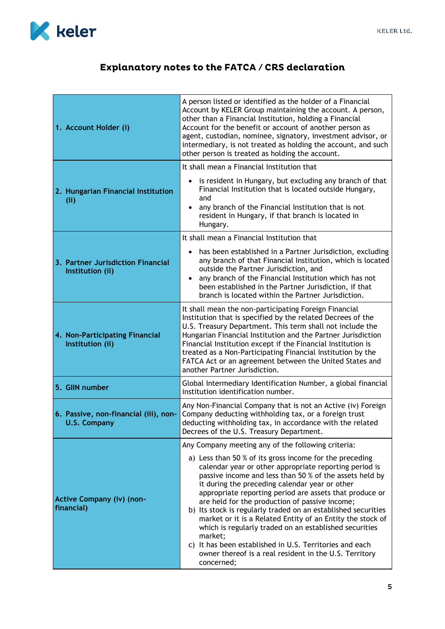Ť.



# Explanatory notes to the FATCA / CRS declaration

| 1. Account Holder (i)                                        | A person listed or identified as the holder of a Financial<br>Account by KELER Group maintaining the account. A person,<br>other than a Financial Institution, holding a Financial<br>Account for the benefit or account of another person as<br>agent, custodian, nominee, signatory, investment advisor, or<br>intermediary, is not treated as holding the account, and such<br>other person is treated as holding the account.                                                                                                                                                                                                                                                  |  |
|--------------------------------------------------------------|------------------------------------------------------------------------------------------------------------------------------------------------------------------------------------------------------------------------------------------------------------------------------------------------------------------------------------------------------------------------------------------------------------------------------------------------------------------------------------------------------------------------------------------------------------------------------------------------------------------------------------------------------------------------------------|--|
|                                                              | It shall mean a Financial Institution that                                                                                                                                                                                                                                                                                                                                                                                                                                                                                                                                                                                                                                         |  |
| 2. Hungarian Financial Institution<br>(ii)                   | is resident in Hungary, but excluding any branch of that<br>Financial Institution that is located outside Hungary,<br>and<br>any branch of the Financial Institution that is not<br>resident in Hungary, if that branch is located in<br>Hungary.                                                                                                                                                                                                                                                                                                                                                                                                                                  |  |
|                                                              | It shall mean a Financial Institution that                                                                                                                                                                                                                                                                                                                                                                                                                                                                                                                                                                                                                                         |  |
| 3. Partner Jurisdiction Financial<br>Institution (ii)        | has been established in a Partner Jurisdiction, excluding<br>$\bullet$<br>any branch of that Financial Institution, which is located<br>outside the Partner Jurisdiction, and<br>any branch of the Financial Institution which has not<br>been established in the Partner Jurisdiction, if that<br>branch is located within the Partner Jurisdiction.                                                                                                                                                                                                                                                                                                                              |  |
| 4. Non-Participating Financial<br>Institution (ii)           | It shall mean the non-participating Foreign Financial<br>Institution that is specified by the related Decrees of the<br>U.S. Treasury Department. This term shall not include the<br>Hungarian Financial Institution and the Partner Jurisdiction<br>Financial Institution except if the Financial Institution is<br>treated as a Non-Participating Financial Institution by the<br>FATCA Act or an agreement between the United States and<br>another Partner Jurisdiction.                                                                                                                                                                                                       |  |
| 5. GIIN number                                               | Global Intermediary Identification Number, a global financial<br>institution identification number.                                                                                                                                                                                                                                                                                                                                                                                                                                                                                                                                                                                |  |
| 6. Passive, non-financial (iii), non-<br><b>U.S. Company</b> | Any Non-Financial Company that is not an Active (iv) Foreign<br>Company deducting withholding tax, or a foreign trust<br>deducting withholding tax, in accordance with the related<br>Decrees of the U.S. Treasury Department.                                                                                                                                                                                                                                                                                                                                                                                                                                                     |  |
|                                                              | Any Company meeting any of the following criteria:                                                                                                                                                                                                                                                                                                                                                                                                                                                                                                                                                                                                                                 |  |
| <b>Active Company (iv) (non-</b><br>financial)               | a) Less than 50 % of its gross income for the preceding<br>calendar year or other appropriate reporting period is<br>passive income and less than 50 % of the assets held by<br>it during the preceding calendar year or other<br>appropriate reporting period are assets that produce or<br>are held for the production of passive income;<br>b) Its stock is regularly traded on an established securities<br>market or it is a Related Entity of an Entity the stock of<br>which is regularly traded on an established securities<br>market;<br>c) It has been established in U.S. Territories and each<br>owner thereof is a real resident in the U.S. Territory<br>concerned; |  |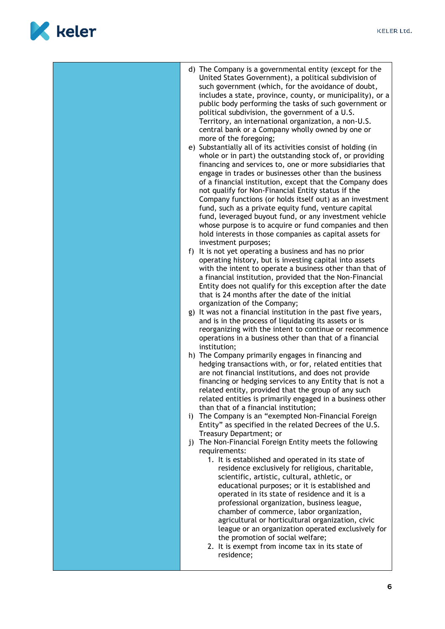

|  | d) The Company is a governmental entity (except for the<br>United States Government), a political subdivision of<br>such government (which, for the avoidance of doubt,<br>includes a state, province, county, or municipality), or a<br>public body performing the tasks of such government or<br>political subdivision, the government of a U.S.<br>Territory, an international organization, a non-U.S.<br>central bank or a Company wholly owned by one or<br>more of the foregoing;<br>e) Substantially all of its activities consist of holding (in<br>whole or in part) the outstanding stock of, or providing<br>financing and services to, one or more subsidiaries that<br>engage in trades or businesses other than the business<br>of a financial institution, except that the Company does<br>not qualify for Non-Financial Entity status if the<br>Company functions (or holds itself out) as an investment<br>fund, such as a private equity fund, venture capital<br>fund, leveraged buyout fund, or any investment vehicle<br>whose purpose is to acquire or fund companies and then<br>hold interests in those companies as capital assets for<br>investment purposes;<br>f) It is not yet operating a business and has no prior<br>operating history, but is investing capital into assets<br>with the intent to operate a business other than that of<br>a financial institution, provided that the Non-Financial<br>Entity does not qualify for this exception after the date<br>that is 24 months after the date of the initial<br>organization of the Company;<br>g) It was not a financial institution in the past five years,<br>and is in the process of liquidating its assets or is<br>reorganizing with the intent to continue or recommence<br>operations in a business other than that of a financial<br>institution;<br>h) The Company primarily engages in financing and<br>hedging transactions with, or for, related entities that<br>are not financial institutions, and does not provide<br>financing or hedging services to any Entity that is not a<br>related entity, provided that the group of any such<br>related entities is primarily engaged in a business other<br>than that of a financial institution;<br>i) The Company is an "exempted Non-Financial Foreign<br>Entity" as specified in the related Decrees of the U.S.<br>Treasury Department; or<br>j) The Non-Financial Foreign Entity meets the following<br>requirements:<br>1. It is established and operated in its state of<br>residence exclusively for religious, charitable,<br>scientific, artistic, cultural, athletic, or<br>educational purposes; or it is established and<br>operated in its state of residence and it is a<br>professional organization, business league,<br>chamber of commerce, labor organization,<br>agricultural or horticultural organization, civic<br>league or an organization operated exclusively for<br>the promotion of social welfare;<br>2. It is exempt from income tax in its state of<br>residence; |
|--|-----------------------------------------------------------------------------------------------------------------------------------------------------------------------------------------------------------------------------------------------------------------------------------------------------------------------------------------------------------------------------------------------------------------------------------------------------------------------------------------------------------------------------------------------------------------------------------------------------------------------------------------------------------------------------------------------------------------------------------------------------------------------------------------------------------------------------------------------------------------------------------------------------------------------------------------------------------------------------------------------------------------------------------------------------------------------------------------------------------------------------------------------------------------------------------------------------------------------------------------------------------------------------------------------------------------------------------------------------------------------------------------------------------------------------------------------------------------------------------------------------------------------------------------------------------------------------------------------------------------------------------------------------------------------------------------------------------------------------------------------------------------------------------------------------------------------------------------------------------------------------------------------------------------------------------------------------------------------------------------------------------------------------------------------------------------------------------------------------------------------------------------------------------------------------------------------------------------------------------------------------------------------------------------------------------------------------------------------------------------------------------------------------------------------------------------------------------------------------------------------------------------------------------------------------------------------------------------------------------------------------------------------------------------------------------------------------------------------------------------------------------------------------------------------------------------------------------------------------------------------------------------------------------------------------------------------------------------------------------------------------------------------------------------------------------|
|--|-----------------------------------------------------------------------------------------------------------------------------------------------------------------------------------------------------------------------------------------------------------------------------------------------------------------------------------------------------------------------------------------------------------------------------------------------------------------------------------------------------------------------------------------------------------------------------------------------------------------------------------------------------------------------------------------------------------------------------------------------------------------------------------------------------------------------------------------------------------------------------------------------------------------------------------------------------------------------------------------------------------------------------------------------------------------------------------------------------------------------------------------------------------------------------------------------------------------------------------------------------------------------------------------------------------------------------------------------------------------------------------------------------------------------------------------------------------------------------------------------------------------------------------------------------------------------------------------------------------------------------------------------------------------------------------------------------------------------------------------------------------------------------------------------------------------------------------------------------------------------------------------------------------------------------------------------------------------------------------------------------------------------------------------------------------------------------------------------------------------------------------------------------------------------------------------------------------------------------------------------------------------------------------------------------------------------------------------------------------------------------------------------------------------------------------------------------------------------------------------------------------------------------------------------------------------------------------------------------------------------------------------------------------------------------------------------------------------------------------------------------------------------------------------------------------------------------------------------------------------------------------------------------------------------------------------------------------------------------------------------------------------------------------------------------------|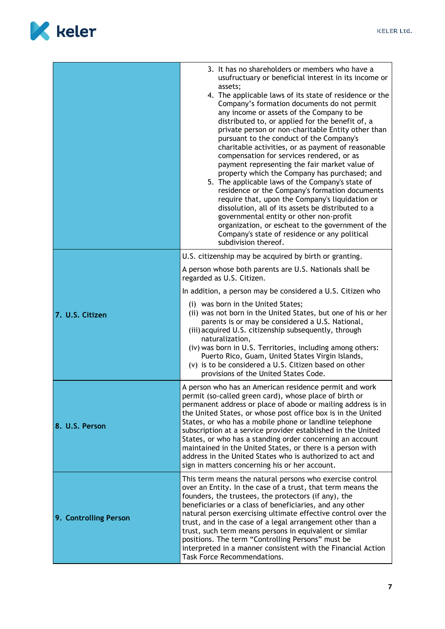

|                       | 3. It has no shareholders or members who have a<br>usufructuary or beneficial interest in its income or<br>assets;<br>4. The applicable laws of its state of residence or the<br>Company's formation documents do not permit<br>any income or assets of the Company to be<br>distributed to, or applied for the benefit of, a<br>private person or non-charitable Entity other than<br>pursuant to the conduct of the Company's<br>charitable activities, or as payment of reasonable<br>compensation for services rendered, or as<br>payment representing the fair market value of<br>property which the Company has purchased; and<br>5. The applicable laws of the Company's state of<br>residence or the Company's formation documents<br>require that, upon the Company's liquidation or<br>dissolution, all of its assets be distributed to a<br>governmental entity or other non-profit<br>organization, or escheat to the government of the<br>Company's state of residence or any political<br>subdivision thereof. |
|-----------------------|------------------------------------------------------------------------------------------------------------------------------------------------------------------------------------------------------------------------------------------------------------------------------------------------------------------------------------------------------------------------------------------------------------------------------------------------------------------------------------------------------------------------------------------------------------------------------------------------------------------------------------------------------------------------------------------------------------------------------------------------------------------------------------------------------------------------------------------------------------------------------------------------------------------------------------------------------------------------------------------------------------------------------|
|                       | U.S. citizenship may be acquired by birth or granting.<br>A person whose both parents are U.S. Nationals shall be<br>regarded as U.S. Citizen.<br>In addition, a person may be considered a U.S. Citizen who<br>(i) was born in the United States;<br>(ii) was not born in the United States, but one of his or her                                                                                                                                                                                                                                                                                                                                                                                                                                                                                                                                                                                                                                                                                                          |
| 7. U.S. Citizen       | parents is or may be considered a U.S. National,<br>(iii) acquired U.S. citizenship subsequently, through<br>naturalization,<br>(iv) was born in U.S. Territories, including among others:<br>Puerto Rico, Guam, United States Virgin Islands,<br>(v) is to be considered a U.S. Citizen based on other<br>provisions of the United States Code.                                                                                                                                                                                                                                                                                                                                                                                                                                                                                                                                                                                                                                                                             |
| 8. U.S. Person        | A person who has an American residence permit and work<br>permit (so-called green card), whose place of birth or<br>permanent address or place of abode or mailing address is in<br>the United States, or whose post office box is in the United<br>States, or who has a mobile phone or landline telephone<br>subscription at a service provider established in the United<br>States, or who has a standing order concerning an account<br>maintained in the United States, or there is a person with<br>address in the United States who is authorized to act and<br>sign in matters concerning his or her account.                                                                                                                                                                                                                                                                                                                                                                                                        |
| 9. Controlling Person | This term means the natural persons who exercise control<br>over an Entity. In the case of a trust, that term means the<br>founders, the trustees, the protectors (if any), the<br>beneficiaries or a class of beneficiaries, and any other<br>natural person exercising ultimate effective control over the<br>trust, and in the case of a legal arrangement other than a<br>trust, such term means persons in equivalent or similar<br>positions. The term "Controlling Persons" must be<br>interpreted in a manner consistent with the Financial Action<br>Task Force Recommendations.                                                                                                                                                                                                                                                                                                                                                                                                                                    |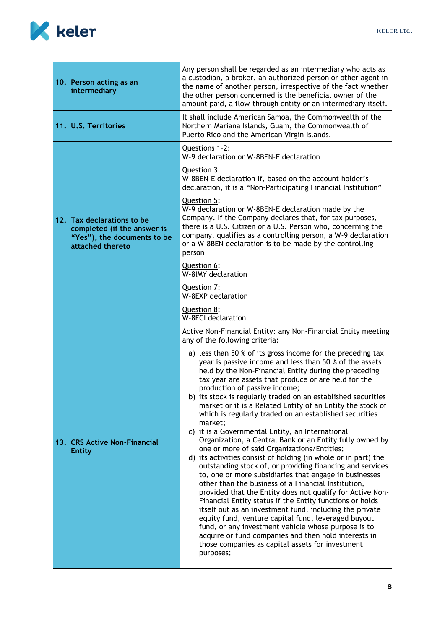

| intermediary         | 10. Person acting as an                                                                                      | Any person shall be regarded as an intermediary who acts as<br>a custodian, a broker, an authorized person or other agent in<br>the name of another person, irrespective of the fact whether<br>the other person concerned is the beneficial owner of the<br>amount paid, a flow-through entity or an intermediary itself.                                                                                                                                                                                                                                                                                                                                                                                                                                                                                                                                                                                                                                                                                                                                                                                                                                                                                                                                                                                             |
|----------------------|--------------------------------------------------------------------------------------------------------------|------------------------------------------------------------------------------------------------------------------------------------------------------------------------------------------------------------------------------------------------------------------------------------------------------------------------------------------------------------------------------------------------------------------------------------------------------------------------------------------------------------------------------------------------------------------------------------------------------------------------------------------------------------------------------------------------------------------------------------------------------------------------------------------------------------------------------------------------------------------------------------------------------------------------------------------------------------------------------------------------------------------------------------------------------------------------------------------------------------------------------------------------------------------------------------------------------------------------------------------------------------------------------------------------------------------------|
| 11. U.S. Territories |                                                                                                              | It shall include American Samoa, the Commonwealth of the<br>Northern Mariana Islands, Guam, the Commonwealth of<br>Puerto Rico and the American Virgin Islands.                                                                                                                                                                                                                                                                                                                                                                                                                                                                                                                                                                                                                                                                                                                                                                                                                                                                                                                                                                                                                                                                                                                                                        |
|                      |                                                                                                              | Questions 1-2:<br>W-9 declaration or W-8BEN-E declaration                                                                                                                                                                                                                                                                                                                                                                                                                                                                                                                                                                                                                                                                                                                                                                                                                                                                                                                                                                                                                                                                                                                                                                                                                                                              |
|                      |                                                                                                              | Question 3:<br>W-8BEN-E declaration if, based on the account holder's<br>declaration, it is a "Non-Participating Financial Institution"                                                                                                                                                                                                                                                                                                                                                                                                                                                                                                                                                                                                                                                                                                                                                                                                                                                                                                                                                                                                                                                                                                                                                                                |
|                      | 12. Tax declarations to be<br>completed (if the answer is<br>"Yes"), the documents to be<br>attached thereto | Question 5:<br>W-9 declaration or W-8BEN-E declaration made by the<br>Company. If the Company declares that, for tax purposes,<br>there is a U.S. Citizen or a U.S. Person who, concerning the<br>company, qualifies as a controlling person, a W-9 declaration<br>or a W-8BEN declaration is to be made by the controlling<br>person                                                                                                                                                                                                                                                                                                                                                                                                                                                                                                                                                                                                                                                                                                                                                                                                                                                                                                                                                                                  |
|                      |                                                                                                              | Question 6:<br>W-8IMY declaration                                                                                                                                                                                                                                                                                                                                                                                                                                                                                                                                                                                                                                                                                                                                                                                                                                                                                                                                                                                                                                                                                                                                                                                                                                                                                      |
|                      |                                                                                                              | Question 7:<br>W-8EXP declaration                                                                                                                                                                                                                                                                                                                                                                                                                                                                                                                                                                                                                                                                                                                                                                                                                                                                                                                                                                                                                                                                                                                                                                                                                                                                                      |
|                      |                                                                                                              | Question 8:<br><b>W-8ECI declaration</b>                                                                                                                                                                                                                                                                                                                                                                                                                                                                                                                                                                                                                                                                                                                                                                                                                                                                                                                                                                                                                                                                                                                                                                                                                                                                               |
|                      |                                                                                                              | Active Non-Financial Entity: any Non-Financial Entity meeting<br>any of the following criteria:                                                                                                                                                                                                                                                                                                                                                                                                                                                                                                                                                                                                                                                                                                                                                                                                                                                                                                                                                                                                                                                                                                                                                                                                                        |
| <b>Entity</b>        | 13. CRS Active Non-Financial                                                                                 | a) less than 50 % of its gross income for the preceding tax<br>year is passive income and less than 50 % of the assets<br>held by the Non-Financial Entity during the preceding<br>tax year are assets that produce or are held for the<br>production of passive income;<br>b) its stock is regularly traded on an established securities<br>market or it is a Related Entity of an Entity the stock of<br>which is regularly traded on an established securities<br>market;<br>c) it is a Governmental Entity, an International<br>Organization, a Central Bank or an Entity fully owned by<br>one or more of said Organizations/Entities;<br>d) its activities consist of holding (in whole or in part) the<br>outstanding stock of, or providing financing and services<br>to, one or more subsidiaries that engage in businesses<br>other than the business of a Financial Institution,<br>provided that the Entity does not qualify for Active Non-<br>Financial Entity status if the Entity functions or holds<br>itself out as an investment fund, including the private<br>equity fund, venture capital fund, leveraged buyout<br>fund, or any investment vehicle whose purpose is to<br>acquire or fund companies and then hold interests in<br>those companies as capital assets for investment<br>purposes; |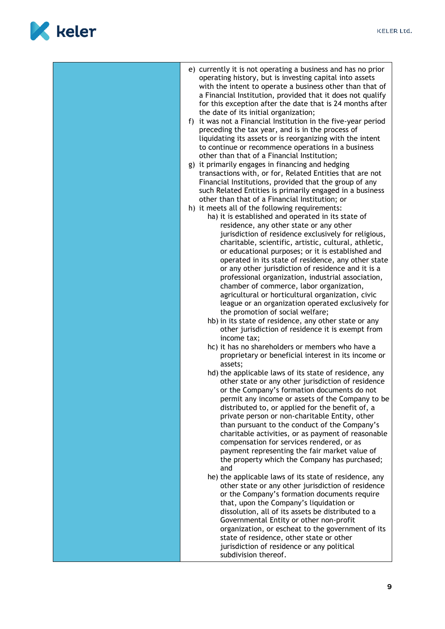

| e) currently it is not operating a business and has no prior<br>operating history, but is investing capital into assets<br>with the intent to operate a business other than that of<br>a Financial Institution, provided that it does not qualify<br>for this exception after the date that is 24 months after<br>the date of its initial organization;<br>f) it was not a Financial Institution in the five-year period<br>preceding the tax year, and is in the process of<br>liquidating its assets or is reorganizing with the intent<br>to continue or recommence operations in a business<br>other than that of a Financial Institution;<br>g) it primarily engages in financing and hedging<br>transactions with, or for, Related Entities that are not<br>Financial Institutions, provided that the group of any<br>such Related Entities is primarily engaged in a business<br>other than that of a Financial Institution; or<br>h) it meets all of the following requirements:<br>ha) it is established and operated in its state of<br>residence, any other state or any other<br>jurisdiction of residence exclusively for religious,<br>charitable, scientific, artistic, cultural, athletic,<br>or educational purposes; or it is established and<br>operated in its state of residence, any other state<br>or any other jurisdiction of residence and it is a<br>professional organization, industrial association,<br>chamber of commerce, labor organization,<br>agricultural or horticultural organization, civic<br>league or an organization operated exclusively for<br>the promotion of social welfare;<br>hb) in its state of residence, any other state or any<br>other jurisdiction of residence it is exempt from<br>income tax;<br>hc) it has no shareholders or members who have a<br>proprietary or beneficial interest in its income or<br>assets;<br>hd) the applicable laws of its state of residence, any<br>other state or any other jurisdiction of residence<br>or the Company's formation documents do not<br>permit any income or assets of the Company to be<br>distributed to, or applied for the benefit of, a<br>private person or non-charitable Entity, other<br>than pursuant to the conduct of the Company's<br>charitable activities, or as payment of reasonable<br>compensation for services rendered, or as<br>payment representing the fair market value of<br>the property which the Company has purchased;<br>and<br>he) the applicable laws of its state of residence, any<br>other state or any other jurisdiction of residence<br>or the Company's formation documents require<br>that, upon the Company's liquidation or<br>dissolution, all of its assets be distributed to a<br>Governmental Entity or other non-profit |
|------------------------------------------------------------------------------------------------------------------------------------------------------------------------------------------------------------------------------------------------------------------------------------------------------------------------------------------------------------------------------------------------------------------------------------------------------------------------------------------------------------------------------------------------------------------------------------------------------------------------------------------------------------------------------------------------------------------------------------------------------------------------------------------------------------------------------------------------------------------------------------------------------------------------------------------------------------------------------------------------------------------------------------------------------------------------------------------------------------------------------------------------------------------------------------------------------------------------------------------------------------------------------------------------------------------------------------------------------------------------------------------------------------------------------------------------------------------------------------------------------------------------------------------------------------------------------------------------------------------------------------------------------------------------------------------------------------------------------------------------------------------------------------------------------------------------------------------------------------------------------------------------------------------------------------------------------------------------------------------------------------------------------------------------------------------------------------------------------------------------------------------------------------------------------------------------------------------------------------------------------------------------------------------------------------------------------------------------------------------------------------------------------------------------------------------------------------------------------------------------------------------------------------------------------------------------------------------------------------------------------------------------------------------------------------------------------------------------------------------------------------------------------------|
| organization, or escheat to the government of its<br>state of residence, other state or other<br>jurisdiction of residence or any political<br>subdivision thereof.                                                                                                                                                                                                                                                                                                                                                                                                                                                                                                                                                                                                                                                                                                                                                                                                                                                                                                                                                                                                                                                                                                                                                                                                                                                                                                                                                                                                                                                                                                                                                                                                                                                                                                                                                                                                                                                                                                                                                                                                                                                                                                                                                                                                                                                                                                                                                                                                                                                                                                                                                                                                                |
|                                                                                                                                                                                                                                                                                                                                                                                                                                                                                                                                                                                                                                                                                                                                                                                                                                                                                                                                                                                                                                                                                                                                                                                                                                                                                                                                                                                                                                                                                                                                                                                                                                                                                                                                                                                                                                                                                                                                                                                                                                                                                                                                                                                                                                                                                                                                                                                                                                                                                                                                                                                                                                                                                                                                                                                    |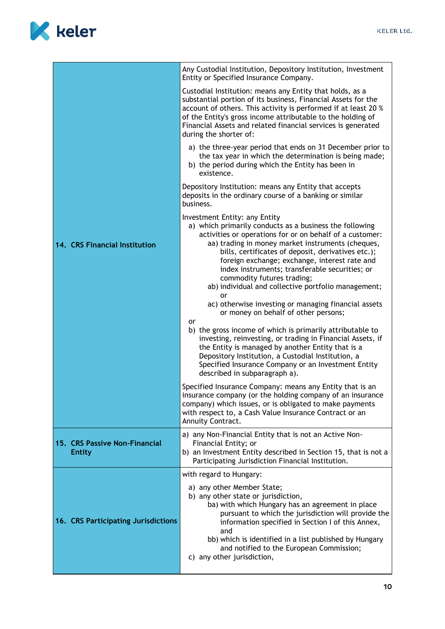

|                                                | Any Custodial Institution, Depository Institution, Investment<br>Entity or Specified Insurance Company.                                                                                                                                                                                                                                                                                                                                                       |
|------------------------------------------------|---------------------------------------------------------------------------------------------------------------------------------------------------------------------------------------------------------------------------------------------------------------------------------------------------------------------------------------------------------------------------------------------------------------------------------------------------------------|
|                                                | Custodial Institution: means any Entity that holds, as a<br>substantial portion of its business, Financial Assets for the<br>account of others. This activity is performed if at least 20 %<br>of the Entity's gross income attributable to the holding of<br>Financial Assets and related financial services is generated<br>during the shorter of:                                                                                                          |
|                                                | a) the three-year period that ends on 31 December prior to<br>the tax year in which the determination is being made;<br>b) the period during which the Entity has been in<br>existence.                                                                                                                                                                                                                                                                       |
|                                                | Depository Institution: means any Entity that accepts<br>deposits in the ordinary course of a banking or similar<br>business.                                                                                                                                                                                                                                                                                                                                 |
| 14. CRS Financial Institution                  | Investment Entity: any Entity<br>a) which primarily conducts as a business the following<br>activities or operations for or on behalf of a customer:<br>aa) trading in money market instruments (cheques,<br>bills, certificates of deposit, derivatives etc.);<br>foreign exchange; exchange, interest rate and<br>index instruments; transferable securities; or<br>commodity futures trading;<br>ab) individual and collective portfolio management;<br>or |
|                                                | ac) otherwise investing or managing financial assets<br>or money on behalf of other persons;                                                                                                                                                                                                                                                                                                                                                                  |
|                                                | or<br>b) the gross income of which is primarily attributable to<br>investing, reinvesting, or trading in Financial Assets, if<br>the Entity is managed by another Entity that is a<br>Depository Institution, a Custodial Institution, a<br>Specified Insurance Company or an Investment Entity<br>described in subparagraph a).                                                                                                                              |
|                                                | Specified Insurance Company: means any Entity that is an<br>insurance company (or the holding company of an insurance<br>company) which issues, or is obligated to make payments<br>with respect to, a Cash Value Insurance Contract or an<br>Annuity Contract.                                                                                                                                                                                               |
| 15. CRS Passive Non-Financial<br><b>Entity</b> | a) any Non-Financial Entity that is not an Active Non-<br>Financial Entity; or<br>b) an Investment Entity described in Section 15, that is not a<br>Participating Jurisdiction Financial Institution.                                                                                                                                                                                                                                                         |
|                                                | with regard to Hungary:                                                                                                                                                                                                                                                                                                                                                                                                                                       |
| 16. CRS Participating Jurisdictions            | a) any other Member State;<br>b) any other state or jurisdiction,<br>ba) with which Hungary has an agreement in place<br>pursuant to which the jurisdiction will provide the<br>information specified in Section I of this Annex,<br>and<br>bb) which is identified in a list published by Hungary<br>and notified to the European Commission;<br>c) any other jurisdiction,                                                                                  |
|                                                |                                                                                                                                                                                                                                                                                                                                                                                                                                                               |